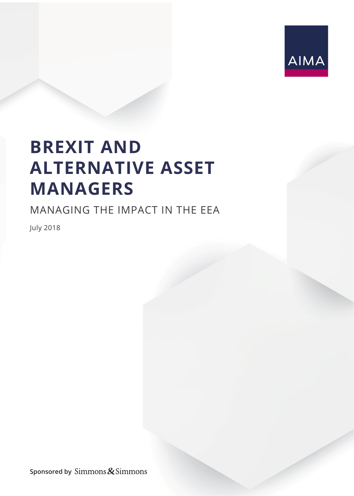

## **BREXIT AND ALTERNATIVE ASSET MANAGERS**

### MANAGING THE IMPACT IN THE EEA

July 2018

**Sponsored by**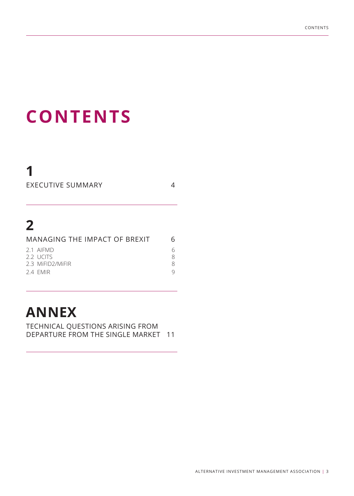# **CONTENTS**

## **2**

**1**

| 6 |
|---|
|   |
|   |
| 8 |
|   |
|   |

EXECUTIVE SUMMARY 4

## **ANNEX**

TECHNICAL QUESTIONS ARISING FROM DEPARTURE FROM THE SINGLE MARKET 11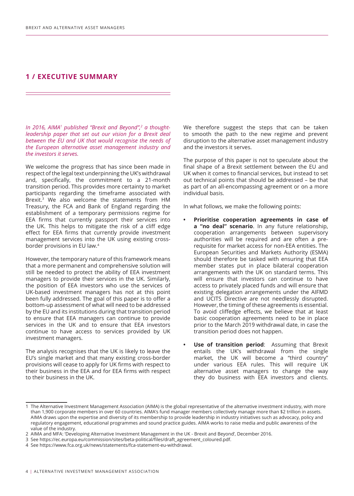#### **1 / EXECUTIVE SUMMARY**

In 2016, AIMA<sup>1</sup> published "Brexit and Beyond",<sup>2</sup> a thought*leadership paper that set out our vision for a Brexit deal between the EU and UK that would recognise the needs of the European alternative asset management industry and the investors it serves.*

We welcome the progress that has since been made in respect of the legal text underpinning the UK's withdrawal and, specifically, the commitment to a 21-month transition period. This provides more certainty to market participants regarding the timeframe associated with Brexit.3 We also welcome the statements from HM Treasury, the FCA and Bank of England regarding the establishment of a temporary permissions regime for EEA firms that currently passport their services into the UK. This helps to mitigate the risk of a cliff edge effect for EEA firms that currently provide investment management services into the UK using existing crossborder provisions in EU law.4

However, the temporary nature of this framework means that a more permanent and comprehensive solution will still be needed to protect the ability of EEA investment managers to provide their services in the UK. Similarly, the position of EEA investors who use the services of UK-based investment managers has not at this point been fully addressed. The goal of this paper is to offer a bottom-up assessment of what will need to be addressed by the EU and its institutions during that transition period to ensure that EEA managers can continue to provide services in the UK and to ensure that EEA investors continue to have access to services provided by UK investment managers.

The analysis recognises that the UK is likely to leave the EU's single market and that many existing cross-border provisions will cease to apply for UK firms with respect to their business in the EEA and for EEA firms with respect to their business in the UK.

We therefore suggest the steps that can be taken to smooth the path to the new regime and prevent disruption to the alternative asset management industry and the investors it serves.

The purpose of this paper is not to speculate about the final shape of a Brexit settlement between the EU and UK when it comes to financial services, but instead to set out technical points that should be addressed – be that as part of an all-encompassing agreement or on a more individual basis.

In what follows, we make the following points:

- **• Prioritise cooperation agreements in case of a "no deal" scenario**. In any future relationship, cooperation arrangements between supervisory authorities will be required and are often a prerequisite for market access for non-EEA entities. The European Securities and Markets Authority (ESMA) should therefore be tasked with ensuring that EEA member states put in place bilateral cooperation arrangements with the UK on standard terms. This will ensure that investors can continue to have access to privately placed funds and will ensure that existing delegation arrangements under the AIFMD and UCITS Directive are not needlessly disrupted. However, the timing of these agreements is essential. To avoid cliffedge effects, we believe that at least basic cooperation agreements need to be in place prior to the March 2019 withdrawal date, in case the transition period does not happen.
- **Use of transition period:** Assuming that Brexit entails the UK's withdrawal from the single market, the UK will become a "third country" under various EEA rules. This will require UK alternative asset managers to change the way they do business with EEA investors and clients.

<sup>1</sup> The Alternative Investment Management Association (AIMA) is the global representative of the alternative investment industry, with more than 1,900 corporate members in over 60 countries. AIMA's fund manager members collectively manage more than \$2 trillion in assets. AIMA draws upon the expertise and diversity of its membership to provide leadership in industry initiatives such as advocacy, policy and regulatory engagement, educational programmes and sound practice guides. AIMA works to raise media and public awareness of the value of the industry.

<sup>2</sup> AIMA and MFA: 'Developing Alternative Investment Management in the UK - Brexit and Beyond', December 2016.

<sup>3</sup> See https://ec.europa.eu/commission/sites/beta-political/files/draft\_agreement\_coloured.pdf.

<sup>4</sup> See https://www.fca.org.uk/news/statements/fca-statement-eu-withdrawal.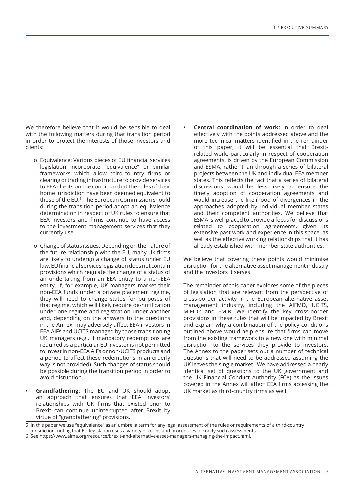We therefore believe that it would be sensible to deal with the following matters during that transition period in order to protect the interests of those investors and clients:

- o Equivalence: Various pieces of EU financial services legislation incorporate "equivalence" or similar frameworks which allow third-country firms or clearing or trading infrastructure to provide services to EEA clients on the condition that the rules of their home jurisdiction have been deemed equivalent to those of the EU.5 The European Commission should during the transition period adopt an equivalence determination in respect of UK rules to ensure that EEA investors and firms continue to have access to the investment management services that they currently use.
- o Change of status issues: Depending on the nature of the future relationship with the EU, many UK firms are likely to undergo a change of status under EU law. EU financial services legislation does not contain provisions which regulate the change of a status of an undertaking from an EEA entity to a non-EEA entity. If, for example, UK managers market their non-EEA funds under a private placement regime, they will need to change status for purposes of that regime, which will likely require de-notification under one regime and registration under another and, depending on the answers to the questions in the Annex, may adversely affect EEA investors in EEA AIFs and UCITS managed by those transitioning UK managers (e.g., if mandatory redemptions are required as a particular EU investor is not permitted to invest in non-EEA AIFs or non-UCITS products and a period to affect these redemptions in an orderly way is not provided). Such changes of status should be possible during the transition period in order to avoid disruption.
- **• Grandfathering:** The EU and UK should adopt an approach that ensures that EEA investors' relationships with UK firms that existed prior to Brexit can continue uninterrupted after Brexit by virtue of "grandfathering" provisions.

**• Central coordination of work:** In order to deal effectively with the points addressed above and the more technical matters identified in the remainder of this paper, it will be essential that Brexitrelated work, particularly in respect of cooperation agreements, is driven by the European Commission and ESMA, rather than through a series of bilateral projects between the UK and individual EEA member states. This reflects the fact that a series of bilateral discussions would be less likely to ensure the timely adoption of cooperation agreements and would increase the likelihood of divergences in the approaches adopted by individual member states and their competent authorities. We believe that ESMA is well placed to provide a focus for discussions related to cooperation agreements, given its extensive past work and experience in this space, as well as the effective working relationships that it has already established with member state authorities.

We believe that covering these points would minimise disruption for the alternative asset management industry and the investors it serves.

The remainder of this paper explores some of the pieces of legislation that are relevant from the perspective of cross-border activity in the European alternative asset management industry, including the AIFMD, UCITS, MiFID2 and EMIR. We identify the key cross-border provisions in these rules that will be impacted by Brexit and explain why a combination of the policy conditions outlined above would help ensure that firms can move from the existing framework to a new one with minimal disruption to the services they provide to investors. The Annex to the paper sets out a number of technical questions that will need to be addressed assuming the UK leaves the single market. We have addressed a nearly identical set of questions to the UK government and the UK Financial Conduct Authority (FCA) as the issues covered in the Annex will affect EEA firms accessing the UK market as third-country firms as well.<sup>6</sup>

<sup>5</sup> In this paper we use "equivalence" as an umbrella term for any legal assessment of the rules or requirements of a third-country jurisdiction, noting that EU legislation uses a variety of terms and procedures to codify such assessments.

<sup>6</sup> See https://www.aima.org/resource/brexit-and-alternative-asset-managers-managing-the-impact.html.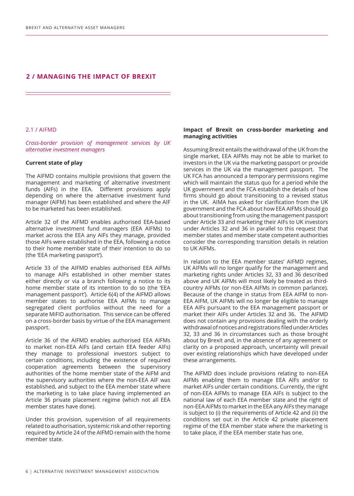#### **2 / MANAGING THE IMPACT OF BREXIT**

#### 2.1 / AIFMD

*Cross-border provision of management services by UK alternative investment managers*

#### **Current state of play**

The AIFMD contains multiple provisions that govern the management and marketing of alternative investment funds (AIFs) in the EEA. Different provisions apply depending on where the alternative investment fund manager (AIFM) has been established and where the AIF to be marketed has been established.

Article 32 of the AIFMD enables authorised EEA-based alternative investment fund managers (EEA AIFMs) to market across the EEA any AIFs they manage, provided those AIFs were established in the EEA, following a notice to their home member state of their intention to do so (the 'EEA marketing passport').

Article 33 of the AIFMD enables authorised EEA AIFMs to manage AIFs established in other member states either directly or via a branch following a notice to its home member state of its intention to do so (the 'EEA management passport'). Article 6(4) of the AIFMD allows member states to authorise EEA AIFMs to manage segregated client portfolios without the need for a separate MiFID authorisation. This service can be offered on a cross-border basis by virtue of the EEA management passport.

Article 36 of the AIFMD enables authorised EEA AIFMs to market non-EEA AIFs (and certain EEA feeder AIFs) they manage to professional investors subject to certain conditions, including the existence of required cooperation agreements between the supervisory authorities of the home member state of the AIFM and the supervisory authorities where the non-EEA AIF was established, and subject to the EEA member state where the marketing is to take place having implemented an Article 36 private placement regime (which not all EEA member states have done).

Under this provision, supervision of all requirements related to authorisation, systemic risk and other reporting required by Article 24 of the AIFMD remain with the home member state.

#### **Impact of Brexit on cross-border marketing and managing activities**

Assuming Brexit entails the withdrawal of the UK from the single market, EEA AIFMs may not be able to market to investors in the UK via the marketing passport or provide services in the UK via the management passport. The UK FCA has announced a temporary permissions regime which will maintain the status quo for a period while the UK government and the FCA establish the details of how firms should go about transitioning to a revised status in the UK. AIMA has asked for clarification from the UK government and the FCA about how EEA AIFMs should go about transitioning from using the management passport under Article 33 and marketing their AIFs to UK investors under Articles 32 and 36 in parallel to this request that member states and member state competent authorities consider the corresponding transition details in relation to UK AIFMs.

In relation to the EEA member states' AIFMD regimes, UK AIFMs will no longer qualify for the management and marketing rights under Articles 32, 33 and 36 described above and UK AIFMs will most likely be treated as thirdcountry AIFMs (or non-EEA AIFMs in common parlance). Because of the change in status from EEA AIFM to non-EEA AIFM, UK AIFMs will no longer be eligible to manage EEA AIFs pursuant to the EEA management passport or market their AIFs under Articles 32 and 36. The AIFMD does not contain any provisions dealing with the orderly withdrawal of notices and registrations filed under Articles 32, 33 and 36 in circumstances such as those brought about by Brexit and, in the absence of any agreement or clarity on a proposed approach, uncertainty will prevail over existing relationships which have developed under these arrangements.

The AIFMD does include provisions relating to non-EEA AIFMs enabling them to manage EEA AIFs and/or to market AIFs under certain conditions. Currently, the right of non-EEA AIFMs to manage EEA AIFs is subject to the national law of each EEA member state and the right of non-EEA AIFMs to market in the EEA any AIFs they manage is subject to (i) the requirements of Article 42 and (ii) the conditions set out in the Article 42 private placement regime of the EEA member state where the marketing is to take place, if the EEA member state has one.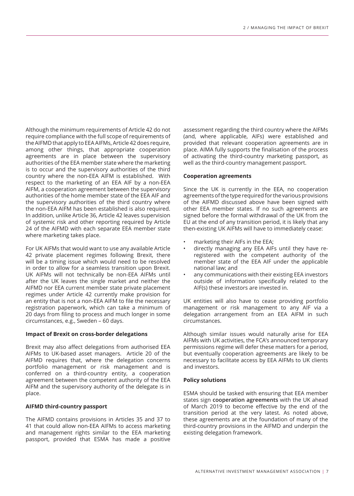Although the minimum requirements of Article 42 do not require compliance with the full scope of requirements of the AIFMD that apply to EEA AIFMs, Article 42 does require, among other things, that appropriate cooperation agreements are in place between the supervisory authorities of the EEA member state where the marketing is to occur and the supervisory authorities of the third country where the non-EEA AIFM is established. With respect to the marketing of an EEA AIF by a non-EEA AIFM, a cooperation agreement between the supervisory authorities of the home member state of the EEA AIF and the supervisory authorities of the third country where the non-EEA AIFM has been established is also required. In addition, unlike Article 36, Article 42 leaves supervision of systemic risk and other reporting required by Article 24 of the AIFMD with each separate EEA member state where marketing takes place.

For UK AIFMs that would want to use any available Article 42 private placement regimes following Brexit, there will be a timing issue which would need to be resolved in order to allow for a seamless transition upon Brexit. UK AIFMs will not technically be non-EEA AIFMs until after the UK leaves the single market and neither the AIFMD nor EEA current member state private placement regimes under Article 42 currently make provision for an entity that is not a non-EEA AIFM to file the necessary registration paperwork, which can take a minimum of 20 days from filing to process and much longer in some circumstances, e.g., Sweden – 60 days.

#### **Impact of Brexit on cross-border delegations**

Brexit may also affect delegations from authorised EEA AIFMs to UK-based asset managers. Article 20 of the AIFMD requires that, where the delegation concerns portfolio management or risk management and is conferred on a third-country entity, a cooperation agreement between the competent authority of the EEA AIFM and the supervisory authority of the delegate is in place.

#### **AIFMD third-country passport**

The AIFMD contains provisions in Articles 35 and 37 to 41 that could allow non-EEA AIFMs to access marketing and management rights similar to the EEA marketing passport, provided that ESMA has made a positive

assessment regarding the third country where the AIFMs (and, where applicable, AIFs) were established and provided that relevant cooperation agreements are in place. AIMA fully supports the finalisation of the process of activating the third-country marketing passport, as well as the third-country management passport.

#### **Cooperation agreements**

Since the UK is currently in the EEA, no cooperation agreements of the type required for the various provisions of the AIFMD discussed above have been signed with other EEA member states. If no such agreements are signed before the formal withdrawal of the UK from the EU at the end of any transition period, it is likely that any then-existing UK AIFMs will have to immediately cease:

- marketing their AIFs in the EEA;
- directly managing any EEA AIFs until they have reregistered with the competent authority of the member state of the EEA AIF under the applicable national law; and
- any communications with their existing EEA investors outside of information specifically related to the AIF(s) these investors are invested in.

UK entities will also have to cease providing portfolio management or risk management to any AIF via a delegation arrangement from an EEA AIFM in such circumstances.

Although similar issues would naturally arise for EEA AIFMs with UK activities, the FCA's announced temporary permissions regime will defer these matters for a period, but eventually cooperation agreements are likely to be necessary to facilitate access by EEA AIFMs to UK clients and investors.

#### **Policy solutions**

ESMA should be tasked with ensuring that EEA member states sign **cooperation agreements** with the UK ahead of March 2019 to become effective by the end of the transition period at the very latest. As noted above, these agreements are at the foundation of many of the third-country provisions in the AIFMD and underpin the existing delegation framework.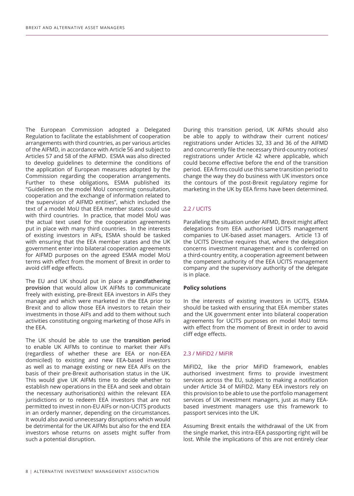The European Commission adopted a Delegated Regulation to facilitate the establishment of cooperation arrangements with third countries, as per various articles of the AIFMD, in accordance with Article 56 and subject to Articles 57 and 58 of the AIFMD. ESMA was also directed to develop guidelines to determine the conditions of the application of European measures adopted by the Commission regarding the cooperation arrangements. Further to these obligations, ESMA published its "Guidelines on the model MoU concerning consultation, cooperation and the exchange of information related to the supervision of AIFMD entities", which included the text of a model MoU that EEA member states could use with third countries. In practice, that model MoU was the actual text used for the cooperation agreements put in place with many third countries. In the interests of existing investors in AIFs, ESMA should be tasked with ensuring that the EEA member states and the UK government enter into bilateral cooperation agreements for AIFMD purposes on the agreed ESMA model MoU terms with effect from the moment of Brexit in order to avoid cliff edge effects.

The EU and UK should put in place a **grandfathering provision** that would allow UK AIFMs to communicate freely with existing, pre-Brexit EEA investors in AIFs they manage and which were marketed in the EEA prior to Brexit and to allow those EEA investors to retain their investments in those AIFs and add to them without such activities constituting ongoing marketing of those AIFs in the EEA.

The UK should be able to use the **transition period** to enable UK AIFMs to continue to market their AIFs (regardless of whether these are EEA or non-EEA domiciled) to existing and new EEA-based investors as well as to manage existing or new EEA AIFs on the basis of their pre-Brexit authorisation status in the UK. This would give UK AIFMs time to decide whether to establish new operations in the EEA and seek and obtain the necessary authorisation(s) within the relevant EEA jurisdictions or to redeem EEA investors that are not permitted to invest in non-EU AIFs or non-UCITS products in an orderly manner, depending on the circumstances. It would also avoid unnecessary disruptions which would be detrimental for the UK AIFMs but also for the end EEA investors whose returns on assets might suffer from such a potential disruption.

During this transition period, UK AIFMs should also be able to apply to withdraw their current notices/ registrations under Articles 32, 33 and 36 of the AIFMD and concurrently file the necessary third-country notices/ registrations under Article 42 where applicable, which could become effective before the end of the transition period. EEA firms could use this same transition period to change the way they do business with UK investors once the contours of the post-Brexit regulatory regime for marketing in the UK by EEA firms have been determined.

#### 2.2 / UCITS

Paralleling the situation under AIFMD, Brexit might affect delegations from EEA authorised UCITS management companies to UK-based asset managers. Article 13 of the UCITS Directive requires that, where the delegation concerns investment management and is conferred on a third-country entity, a cooperation agreement between the competent authority of the EEA UCITS management company and the supervisory authority of the delegate is in place.

#### **Policy solutions**

In the interests of existing investors in UCITS, ESMA should be tasked with ensuring that EEA member states and the UK government enter into bilateral cooperation agreements for UCITS purposes on model MoU terms with effect from the moment of Brexit in order to avoid cliff edge effects.

#### 2.3 / MiFID2 / MiFIR

MiFID2, like the prior MiFID framework, enables authorised investment firms to provide investment services across the EU, subject to making a notification under Article 34 of MiFID2. Many EEA investors rely on this provision to be able to use the portfolio management services of UK investment managers, just as many EEAbased investment managers use this framework to passport services into the UK.

Assuming Brexit entails the withdrawal of the UK from the single market, this intra-EEA passporting right will be lost. While the implications of this are not entirely clear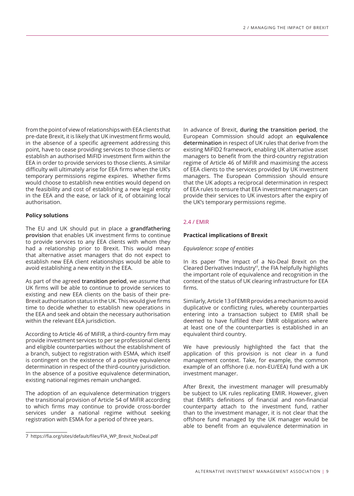from the point of view of relationships with EEA clients that pre-date Brexit, it is likely that UK investment firms would, in the absence of a specific agreement addressing this point, have to cease providing services to those clients or establish an authorised MiFID investment firm within the EEA in order to provide services to those clients. A similar difficulty will ultimately arise for EEA firms when the UK's temporary permissions regime expires. Whether firms would choose to establish new entities would depend on the feasibility and cost of establishing a new legal entity in the EEA and the ease, or lack of it, of obtaining local authorisation.

#### **Policy solutions**

The EU and UK should put in place a **grandfathering provision** that enables UK investment firms to continue to provide services to any EEA clients with whom they had a relationship prior to Brexit. This would mean that alternative asset managers that do not expect to establish new EEA client relationships would be able to avoid establishing a new entity in the EEA.

As part of the agreed **transition period**, we assume that UK firms will be able to continue to provide services to existing and new EEA clients on the basis of their pre-Brexit authorisation status in the UK. This would give firms time to decide whether to establish new operations in the EEA and seek and obtain the necessary authorisation within the relevant EEA jurisdiction.

According to Article 46 of MiFIR, a third-country firm may provide investment services to per se professional clients and eligible counterparties without the establishment of a branch, subject to registration with ESMA, which itself is contingent on the existence of a positive equivalence determination in respect of the third-country jurisdiction. In the absence of a positive equivalence determination, existing national regimes remain unchanged.

The adoption of an equivalence determination triggers the transitional provision of Article 54 of MiFIR according to which firms may continue to provide cross-border services under a national regime without seeking registration with ESMA for a period of three years.

In advance of Brexit, **during the transition period**, the European Commission should adopt an **equivalence determination** in respect of UK rules that derive from the existing MiFID2 framework, enabling UK alternative asset managers to benefit from the third-country registration regime of Article 46 of MiFIR and maximising the access of EEA clients to the services provided by UK investment managers. The European Commission should ensure that the UK adopts a reciprocal determination in respect of EEA rules to ensure that EEA investment managers can provide their services to UK investors after the expiry of the UK's temporary permissions regime.

#### 2.4 / EMIR

#### **Practical implications of Brexit**

#### *Equivalence: scope of entities*

In its paper 'The Impact of a No-Deal Brexit on the Cleared Derivatives Industry'7, the FIA helpfully highlights the important role of equivalence and recognition in the context of the status of UK clearing infrastructure for EEA firms.

Similarly, Article 13 of EMIR provides a mechanism to avoid duplicative or conflicting rules, whereby counterparties entering into a transaction subject to EMIR shall be deemed to have fulfilled their EMIR obligations where at least one of the counterparties is established in an equivalent third country.

We have previously highlighted the fact that the application of this provision is not clear in a fund management context. Take, for example, the common example of an offshore (i.e. non-EU/EEA) fund with a UK investment manager.

After Brexit, the investment manager will presumably be subject to UK rules replicating EMIR. However, given that EMIR's definitions of financial and non-financial counterparty attach to the investment fund, rather than to the investment manager, it is not clear that the offshore fund managed by the UK manager would be able to benefit from an equivalence determination in

<sup>7</sup> https://fia.org/sites/default/files/FIA\_WP\_Brexit\_NoDeal.pdf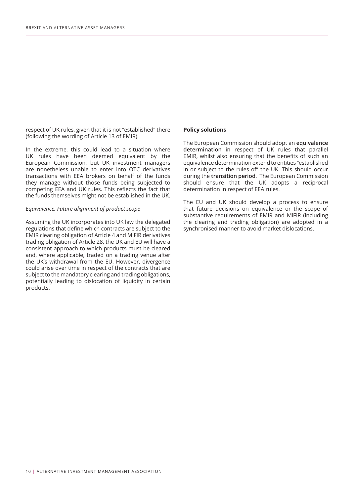respect of UK rules, given that it is not "established" there (following the wording of Article 13 of EMIR).

In the extreme, this could lead to a situation where UK rules have been deemed equivalent by the European Commission, but UK investment managers are nonetheless unable to enter into OTC derivatives transactions with EEA brokers on behalf of the funds they manage without those funds being subjected to competing EEA and UK rules. This reflects the fact that the funds themselves might not be established in the UK.

#### *Equivalence: Future alignment of product scope*

Assuming the UK incorporates into UK law the delegated regulations that define which contracts are subject to the EMIR clearing obligation of Article 4 and MiFIR derivatives trading obligation of Article 28, the UK and EU will have a consistent approach to which products must be cleared and, where applicable, traded on a trading venue after the UK's withdrawal from the EU. However, divergence could arise over time in respect of the contracts that are subject to the mandatory clearing and trading obligations, potentially leading to dislocation of liquidity in certain products.

#### **Policy solutions**

The European Commission should adopt an **equivalence determination** in respect of UK rules that parallel EMIR, whilst also ensuring that the benefits of such an equivalence determination extend to entities "established in or subject to the rules of" the UK. This should occur during the **transition period**. The European Commission should ensure that the UK adopts a reciprocal determination in respect of EEA rules.

The EU and UK should develop a process to ensure that future decisions on equivalence or the scope of substantive requirements of EMIR and MiFIR (including the clearing and trading obligation) are adopted in a synchronised manner to avoid market dislocations.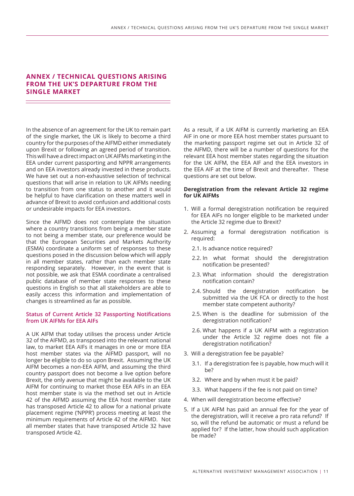#### **ANNEX / TECHNICAL QUESTIONS ARISING FROM THE UK'S DEPARTURE FROM THE SINGLE MARKET**

In the absence of an agreement for the UK to remain part of the single market, the UK is likely to become a third country for the purposes of the AIFMD either immediately upon Brexit or following an agreed period of transition. This will have a direct impact on UK AIFMs marketing in the EEA under current passporting and NPPR arrangements and on EEA investors already invested in these products. We have set out a non-exhaustive selection of technical questions that will arise in relation to UK AIFMs needing to transition from one status to another and it would be helpful to have clarification on these matters well in advance of Brexit to avoid confusion and additional costs or undesirable impacts for EEA investors.

Since the AIFMD does not contemplate the situation where a country transitions from being a member state to not being a member state, our preference would be that the European Securities and Markets Authority (ESMA) coordinate a uniform set of responses to these questions posed in the discussion below which will apply in all member states, rather than each member state responding separately. However, in the event that is not possible, we ask that ESMA coordinate a centralised public database of member state responses to these questions in English so that all stakeholders are able to easily access this information and implementation of changes is streamlined as far as possible.

#### **Status of Current Article 32 Passporting Notifications from UK AIFMs for EEA AIFs**

A UK AIFM that today utilises the process under Article 32 of the AIFMD, as transposed into the relevant national law, to market EEA AIFs it manages in one or more EEA host member states via the AIFMD passport, will no longer be eligible to do so upon Brexit. Assuming the UK AIFM becomes a non-EEA AIFM, and assuming the third country passport does not become a live option before Brexit, the only avenue that might be available to the UK AIFM for continuing to market those EEA AIFs in an EEA host member state is via the method set out in Article 42 of the AIFMD assuming the EEA host member state has transposed Article 42 to allow for a national private placement regime ('NPPR') process meeting at least the minimum requirements of Article 42 of the AIFMD. Not all member states that have transposed Article 32 have transposed Article 42.

As a result, if a UK AIFM is currently marketing an EEA AIF in one or more EEA host member states pursuant to the marketing passport regime set out in Article 32 of the AIFMD, there will be a number of questions for the relevant EEA host member states regarding the situation for the UK AIFM, the EEA AIF and the EEA investors in the EEA AIF at the time of Brexit and thereafter. These questions are set out below.

#### **Deregistration from the relevant Article 32 regime for UK AIFMs**

- 1. Will a formal deregistration notification be required for EEA AIFs no longer eligible to be marketed under the Article 32 regime due to Brexit?
- 2. Assuming a formal deregistration notification is required:
	- 2.1. Is advance notice required?
	- 2.2. In what format should the deregistration notification be presented?
	- 2.3. What information should the deregistration notification contain?
	- 2.4. Should the deregistration notification be submitted via the UK FCA or directly to the host member state competent authority?
	- 2.5. When is the deadline for submission of the deregistration notification?
	- 2.6. What happens if a UK AIFM with a registration under the Article 32 regime does not file a deregistration notification?
- 3. Will a deregistration fee be payable?
	- 3.1. If a deregistration fee is payable, how much will it be?
	- 3.2. Where and by when must it be paid?
	- 3.3. What happens if the fee is not paid on time?
- 4. When will deregistration become effective?
- 5. If a UK AIFM has paid an annual fee for the year of the deregistration, will it receive a pro rata refund? If so, will the refund be automatic or must a refund be applied for? If the latter, how should such application be made?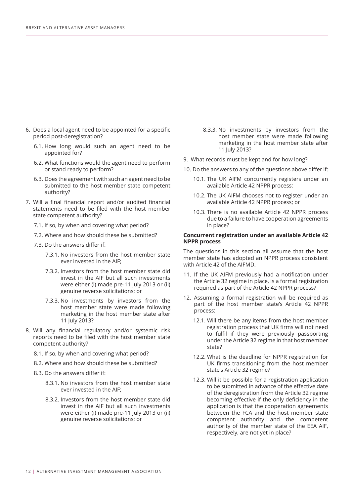- 6. Does a local agent need to be appointed for a specific period post-deregistration?
	- 6.1. How long would such an agent need to be appointed for?
	- 6.2. What functions would the agent need to perform or stand ready to perform?
	- 6.3. Does the agreement with such an agent need to be submitted to the host member state competent authority?
- 7. Will a final financial report and/or audited financial statements need to be filed with the host member state competent authority?
	- 7.1. If so, by when and covering what period?
	- 7.2. Where and how should these be submitted?
	- 7.3. Do the answers differ if:
		- 7.3.1. No investors from the host member state ever invested in the AIF;
		- 7.3.2. Investors from the host member state did invest in the AIF but all such investments were either (i) made pre-11 July 2013 or (ii) genuine reverse solicitations; or
		- 7.3.3. No investments by investors from the host member state were made following marketing in the host member state after 11 July 2013?
- 8. Will any financial regulatory and/or systemic risk reports need to be filed with the host member state competent authority?
	- 8.1. If so, by when and covering what period?
	- 8.2. Where and how should these be submitted?
	- 8.3. Do the answers differ if:
		- 8.3.1. No investors from the host member state ever invested in the AIF;
		- 8.3.2. Investors from the host member state did invest in the AIF but all such investments were either (i) made pre-11 July 2013 or (ii) genuine reverse solicitations; or
- 8.3.3. No investments by investors from the host member state were made following marketing in the host member state after 11 July 2013?
- 9. What records must be kept and for how long?
- 10. Do the answers to any of the questions above differ if:
	- 10.1. The UK AIFM concurrently registers under an available Article 42 NPPR process;
	- 10.2. The UK AIFM chooses not to register under an available Article 42 NPPR process; or
	- 10.3. There is no available Article 42 NPPR process due to a failure to have cooperation agreements in place?

#### **Concurrent registration under an available Article 42 NPPR process**

The questions in this section all assume that the host member state has adopted an NPPR process consistent with Article 42 of the AIFMD.

- 11. If the UK AIFM previously had a notification under the Article 32 regime in place, is a formal registration required as part of the Article 42 NPPR process?
- 12. Assuming a formal registration will be required as part of the host member state's Article 42 NPPR process:
	- 12.1. Will there be any items from the host member registration process that UK firms will not need to fulfil if they were previously passporting under the Article 32 regime in that host member state?
	- 12.2. What is the deadline for NPPR registration for UK firms transitioning from the host member state's Article 32 regime?
	- 12.3. Will it be possible for a registration application to be submitted in advance of the effective date of the deregistration from the Article 32 regime becoming effective if the only deficiency in the application is that the cooperation agreements between the FCA and the host member state competent authority and the competent authority of the member state of the EEA AIF, respectively, are not yet in place?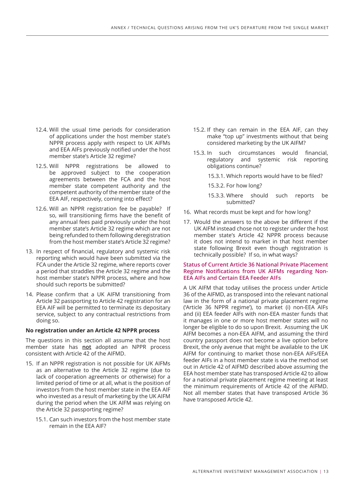- 12.4. Will the usual time periods for consideration of applications under the host member state's NPPR process apply with respect to UK AIFMs and EEA AIFs previously notified under the host member state's Article 32 regime?
- 12.5. Will NPPR registrations be allowed to be approved subject to the cooperation agreements between the FCA and the host member state competent authority and the competent authority of the member state of the EEA AIF, respectively, coming into effect?
- 12.6. Will an NPPR registration fee be payable? If so, will transitioning firms have the benefit of any annual fees paid previously under the host member state's Article 32 regime which are not being refunded to them following deregistration from the host member state's Article 32 regime?
- 13. In respect of financial, regulatory and systemic risk reporting which would have been submitted via the FCA under the Article 32 regime, where reports cover a period that straddles the Article 32 regime and the host member state's NPPR process, where and how should such reports be submitted?
- 14. Please confirm that a UK AIFM transitioning from Article 32 passporting to Article 42 registration for an EEA AIF will be permitted to terminate its depositary service, subject to any contractual restrictions from doing so.

#### **No registration under an Article 42 NPPR process**

The questions in this section all assume that the host member state has **not** adopted an NPPR process consistent with Article 42 of the AIFMD.

- 15. If an NPPR registration is not possible for UK AIFMs as an alternative to the Article 32 regime (due to lack of cooperation agreements or otherwise) for a limited period of time or at all, what is the position of investors from the host member state in the EEA AIF who invested as a result of marketing by the UK AIFM during the period when the UK AIFM was relying on the Article 32 passporting regime?
	- 15.1. Can such investors from the host member state remain in the EEA AIF?
- 15.2. If they can remain in the EEA AIF, can they make "top up" investments without that being considered marketing by the UK AIFM?
- 15.3. In such circumstances would financial, regulatory and systemic risk reporting obligations continue?
	- 15.3.1. Which reports would have to be filed?
	- 15.3.2. For how long?
	- 15.3.3. Where should such reports be submitted?
- 16. What records must be kept and for how long?
- 17. Would the answers to the above be different if the UK AIFM instead chose not to register under the host member state's Article 42 NPPR process because it does not intend to market in that host member state following Brexit even though registration is technically possible? If so, in what ways?

#### **Status of Current Article 36 National Private Placement Regime Notifications from UK AIFMs regarding Non-EEA AIFs and Certain EEA Feeder AIFs**

A UK AIFM that today utilises the process under Article 36 of the AIFMD, as transposed into the relevant national law in the form of a national private placement regime ('Article 36 NPPR regime'), to market (i) non-EEA AIFs and (ii) EEA feeder AIFs with non-EEA master funds that it manages in one or more host member states will no longer be eligible to do so upon Brexit. Assuming the UK AIFM becomes a non-EEA AIFM, and assuming the third country passport does not become a live option before Brexit, the only avenue that might be available to the UK AIFM for continuing to market those non-EEA AIFs/EEA feeder AIFs in a host member state is via the method set out in Article 42 of AIFMD described above assuming the EEA host member state has transposed Article 42 to allow for a national private placement regime meeting at least the minimum requirements of Article 42 of the AIFMD. Not all member states that have transposed Article 36 have transposed Article 42.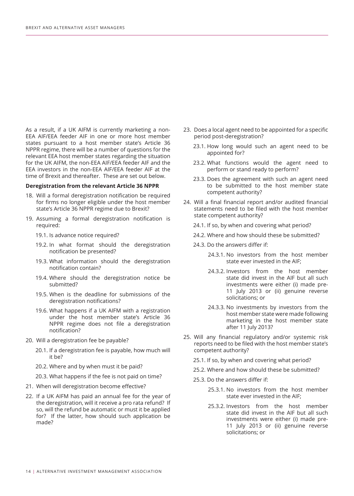As a result, if a UK AIFM is currently marketing a non-EEA AIF/EEA feeder AIF in one or more host member states pursuant to a host member state's Article 36 NPPR regime, there will be a number of questions for the relevant EEA host member states regarding the situation for the UK AIFM, the non-EEA AIF/EEA feeder AIF and the EEA investors in the non-EEA AIF/EEA feeder AIF at the time of Brexit and thereafter. These are set out below.

#### **Deregistration from the relevant Article 36 NPPR**

- 18. Will a formal deregistration notification be required for firms no longer eligible under the host member state's Article 36 NPPR regime due to Brexit?
- 19. Assuming a formal deregistration notification is required:
	- 19.1. Is advance notice required?
	- 19.2. In what format should the deregistration notification be presented?
	- 19.3. What information should the deregistration notification contain?
	- 19.4. Where should the deregistration notice be submitted?
	- 19.5. When is the deadline for submissions of the deregistration notifications?
	- 19.6. What happens if a UK AIFM with a registration under the host member state's Article 36 NPPR regime does not file a deregistration notification?
- 20. Will a deregistration fee be payable?
	- 20.1. If a deregistration fee is payable, how much will it be?
	- 20.2. Where and by when must it be paid?
	- 20.3. What happens if the fee is not paid on time?
- 21. When will deregistration become effective?
- 22. If a UK AIFM has paid an annual fee for the year of the deregistration, will it receive a pro rata refund? If so, will the refund be automatic or must it be applied for? If the latter, how should such application be made?
- 23. Does a local agent need to be appointed for a specific period post-deregistration?
	- 23.1. How long would such an agent need to be appointed for?
	- 23.2. What functions would the agent need to perform or stand ready to perform?
	- 23.3. Does the agreement with such an agent need to be submitted to the host member state competent authority?
- 24. Will a final financial report and/or audited financial statements need to be filed with the host member state competent authority?
	- 24.1. If so, by when and covering what period?
	- 24.2. Where and how should these be submitted?
	- 24.3. Do the answers differ if:
		- 24.3.1. No investors from the host member state ever invested in the AIF;
		- 24.3.2. Investors from the host member state did invest in the AIF but all such investments were either (i) made pre-11 July 2013 or (ii) genuine reverse solicitations; or
		- 24.3.3. No investments by investors from the host member state were made following marketing in the host member state after 11 July 2013?
- 25. Will any financial regulatory and/or systemic risk reports need to be filed with the host member state's competent authority?
	- 25.1. If so, by when and covering what period?
	- 25.2. Where and how should these be submitted?
	- 25.3. Do the answers differ if:
		- 25.3.1. No investors from the host member state ever invested in the AIF;
		- 25.3.2. Investors from the host member state did invest in the AIF but all such investments were either (i) made pre-11 July 2013 or (ii) genuine reverse solicitations; or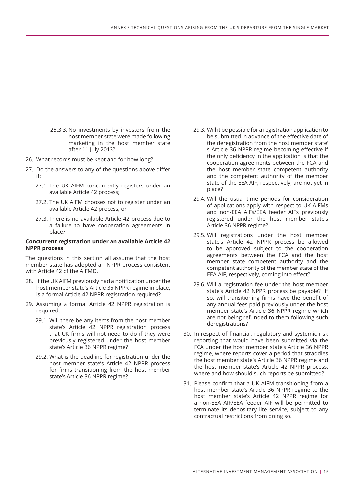- 25.3.3. No investments by investors from the host member state were made following marketing in the host member state after 11 July 2013?
- 26. What records must be kept and for how long?
- 27. Do the answers to any of the questions above differ if:
	- 27.1. The UK AIFM concurrently registers under an available Article 42 process;
	- 27.2. The UK AIFM chooses not to register under an available Article 42 process; or
	- 27.3. There is no available Article 42 process due to a failure to have cooperation agreements in place?

#### **Concurrent registration under an available Article 42 NPPR process**

The questions in this section all assume that the host member state has adopted an NPPR process consistent with Article 42 of the AIFMD.

- 28. If the UK AIFM previously had a notification under the host member state's Article 36 NPPR regime in place, is a formal Article 42 NPPR registration required?
- 29. Assuming a formal Article 42 NPPR registration is required:
	- 29.1. Will there be any items from the host member state's Article 42 NPPR registration process that UK firms will not need to do if they were previously registered under the host member state's Article 36 NPPR regime?
	- 29.2. What is the deadline for registration under the host member state's Article 42 NPPR process for firms transitioning from the host member state's Article 36 NPPR regime?
- 29.3. Will it be possible for a registration application to be submitted in advance of the effective date of the deregistration from the host member state' s Article 36 NPPR regime becoming effective if the only deficiency in the application is that the cooperation agreements between the FCA and the host member state competent authority and the competent authority of the member state of the EEA AIF, respectively, are not yet in place?
- 29.4. Will the usual time periods for consideration of applications apply with respect to UK AIFMs and non-EEA AIFs/EEA feeder AIFs previously registered under the host member state's Article 36 NPPR regime?
- 29.5. Will registrations under the host member state's Article 42 NPPR process be allowed to be approved subject to the cooperation agreements between the FCA and the host member state competent authority and the competent authority of the member state of the EEA AIF, respectively, coming into effect?
- 29.6. Will a registration fee under the host member state's Article 42 NPPR process be payable? If so, will transitioning firms have the benefit of any annual fees paid previously under the host member state's Article 36 NPPR regime which are not being refunded to them following such deregistrations?
- 30. In respect of financial, regulatory and systemic risk reporting that would have been submitted via the FCA under the host member state's Article 36 NPPR regime, where reports cover a period that straddles the host member state's Article 36 NPPR regime and the host member state's Article 42 NPPR process, where and how should such reports be submitted?
- 31. Please confirm that a UK AIFM transitioning from a host member state's Article 36 NPPR regime to the host member state's Article 42 NPPR regime for a non-EEA AIF/EEA feeder AIF will be permitted to terminate its depositary lite service, subject to any contractual restrictions from doing so.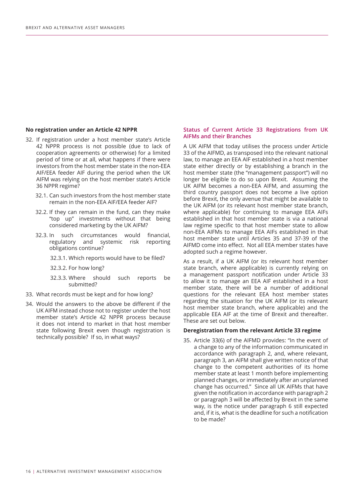#### **No registration under an Article 42 NPPR**

- 32. If registration under a host member state's Article 42 NPPR process is not possible (due to lack of cooperation agreements or otherwise) for a limited period of time or at all, what happens if there were investors from the host member state in the non-EEA AIF/EEA feeder AIF during the period when the UK AIFM was relying on the host member state's Article 36 NPPR regime?
	- 32.1. Can such investors from the host member state remain in the non-EEA AIF/EEA feeder AIF?
	- 32.2. If they can remain in the fund, can they make "top up" investments without that being considered marketing by the UK AIFM?
	- 32.3. In such circumstances would financial, regulatory and systemic risk reporting obligations continue?
		- 32.3.1. Which reports would have to be filed?
		- 32.3.2. For how long?
		- 32.3.3. Where should such reports be submitted?
- 33. What records must be kept and for how long?
- 34. Would the answers to the above be different if the UK AIFM instead chose not to register under the host member state's Article 42 NPPR process because it does not intend to market in that host member state following Brexit even though registration is technically possible? If so, in what ways?

#### **Status of Current Article 33 Registrations from UK AIFMs and their Branches**

A UK AIFM that today utilises the process under Article 33 of the AIFMD, as transposed into the relevant national law, to manage an EEA AIF established in a host member state either directly or by establishing a branch in the host member state (the "management passport") will no longer be eligible to do so upon Brexit. Assuming the UK AIFM becomes a non-EEA AIFM, and assuming the third country passport does not become a live option before Brexit, the only avenue that might be available to the UK AIFM (or its relevant host member state branch, where applicable) for continuing to manage EEA AIFs established in that host member state is via a national law regime specific to that host member state to allow non-EEA AIFMs to manage EEA AIFs established in that host member state until Articles 35 and 37-39 of the AIFMD come into effect. Not all EEA member states have adopted such a regime however.

As a result, if a UK AIFM (or its relevant host member state branch, where applicable) is currently relying on a management passport notification under Article 33 to allow it to manage an EEA AIF established in a host member state, there will be a number of additional questions for the relevant EEA host member states regarding the situation for the UK AIFM (or its relevant host member state branch, where applicable) and the applicable EEA AIF at the time of Brexit and thereafter. These are set out below.

#### **Deregistration from the relevant Article 33 regime**

35. Article 33(6) of the AIFMD provides: "In the event of a change to any of the information communicated in accordance with paragraph 2, and, where relevant, paragraph 3, an AIFM shall give written notice of that change to the competent authorities of its home member state at least 1 month before implementing planned changes, or immediately after an unplanned change has occurred." Since all UK AIFMs that have given the notification in accordance with paragraph 2 or paragraph 3 will be affected by Brexit in the same way, is the notice under paragraph 6 still expected and, if it is, what is the deadline for such a notification to be made?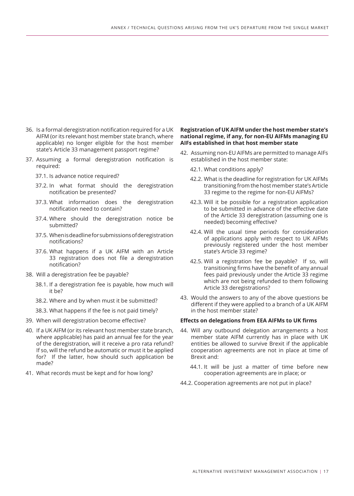- 36. Is a formal deregistration notification required for a UK AIFM (or its relevant host member state branch, where applicable) no longer eligible for the host member state's Article 33 management passport regime?
- 37. Assuming a formal deregistration notification is required:
	- 37.1. Is advance notice required?
	- 37.2. In what format should the deregistration notification be presented?
	- 37.3. What information does the deregistration notification need to contain?
	- 37.4. Where should the deregistration notice be submitted?
	- 37.5. When is deadline for submissions of deregistration notifications?
	- 37.6. What happens if a UK AIFM with an Article 33 registration does not file a deregistration notification?
- 38. Will a deregistration fee be payable?
	- 38.1. If a deregistration fee is payable, how much will it be?
	- 38.2. Where and by when must it be submitted?
	- 38.3. What happens if the fee is not paid timely?
- 39. When will deregistration become effective?
- 40. If a UK AIFM (or its relevant host member state branch, where applicable) has paid an annual fee for the year of the deregistration, will it receive a pro rata refund? If so, will the refund be automatic or must it be applied for? If the latter, how should such application be made?
- 41. What records must be kept and for how long?

#### **Registration of UK AIFM under the host member state's national regime, if any, for non-EU AIFMs managing EU AIFs established in that host member state**

- 42. Assuming non-EU AIFMs are permitted to manage AIFs established in the host member state:
	- 42.1. What conditions apply?
	- 42.2. What is the deadline for registration for UK AIFMs transitioning from the host member state's Article 33 regime to the regime for non-EU AIFMs?
	- 42.3. Will it be possible for a registration application to be submitted in advance of the effective date of the Article 33 deregistration (assuming one is needed) becoming effective?
	- 42.4. Will the usual time periods for consideration of applications apply with respect to UK AIFMs previously registered under the host member state's Article 33 regime?
	- 42.5. Will a registration fee be payable? If so, will transitioning firms have the benefit of any annual fees paid previously under the Article 33 regime which are not being refunded to them following Article 33 deregistrations?
- 43. Would the answers to any of the above questions be different if they were applied to a branch of a UK AIFM in the host member state?

#### **Effects on delegations from EEA AIFMs to UK firms**

- 44. Will any outbound delegation arrangements a host member state AIFM currently has in place with UK entities be allowed to survive Brexit if the applicable cooperation agreements are not in place at time of Brexit and:
	- 44.1. It will be just a matter of time before new cooperation agreements are in place; or
- 44.2. Cooperation agreements are not put in place?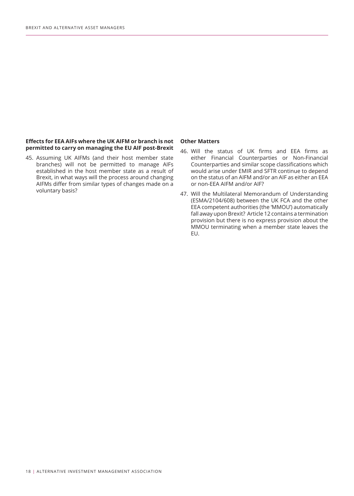#### **Effects for EEA AIFs where the UK AIFM or branch is not permitted to carry on managing the EU AIF post-Brexit**

45. Assuming UK AIFMs (and their host member state branches) will not be permitted to manage AIFs established in the host member state as a result of Brexit, in what ways will the process around changing AIFMs differ from similar types of changes made on a voluntary basis?

#### **Other Matters**

- 46. Will the status of UK firms and EEA firms as either Financial Counterparties or Non-Financial Counterparties and similar scope classifications which would arise under EMIR and SFTR continue to depend on the status of an AIFM and/or an AIF as either an EEA or non-EEA AIFM and/or AIF?
- 47. Will the Multilateral Memorandum of Understanding (ESMA/2104/608) between the UK FCA and the other EEA competent authorities (the 'MMOU') automatically fall away upon Brexit? Article 12 contains a termination provision but there is no express provision about the MMOU terminating when a member state leaves the EU.